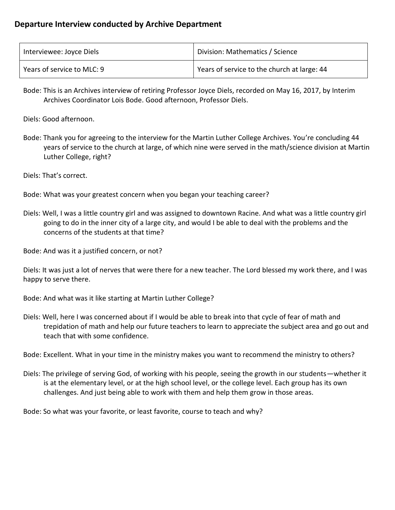| Interviewee: Joyce Diels   | Division: Mathematics / Science             |
|----------------------------|---------------------------------------------|
| Years of service to MLC: 9 | Years of service to the church at large: 44 |

Bode: This is an Archives interview of retiring Professor Joyce Diels, recorded on May 16, 2017, by Interim Archives Coordinator Lois Bode. Good afternoon, Professor Diels.

Diels: Good afternoon.

- Bode: Thank you for agreeing to the interview for the Martin Luther College Archives. You're concluding 44 years of service to the church at large, of which nine were served in the math/science division at Martin Luther College, right?
- Diels: That's correct.
- Bode: What was your greatest concern when you began your teaching career?
- Diels: Well, I was a little country girl and was assigned to downtown Racine. And what was a little country girl going to do in the inner city of a large city, and would I be able to deal with the problems and the concerns of the students at that time?
- Bode: And was it a justified concern, or not?

Diels: It was just a lot of nerves that were there for a new teacher. The Lord blessed my work there, and I was happy to serve there.

- Bode: And what was it like starting at Martin Luther College?
- Diels: Well, here I was concerned about if I would be able to break into that cycle of fear of math and trepidation of math and help our future teachers to learn to appreciate the subject area and go out and teach that with some confidence.

Bode: Excellent. What in your time in the ministry makes you want to recommend the ministry to others?

Diels: The privilege of serving God, of working with his people, seeing the growth in our students—whether it is at the elementary level, or at the high school level, or the college level. Each group has its own challenges. And just being able to work with them and help them grow in those areas.

Bode: So what was your favorite, or least favorite, course to teach and why?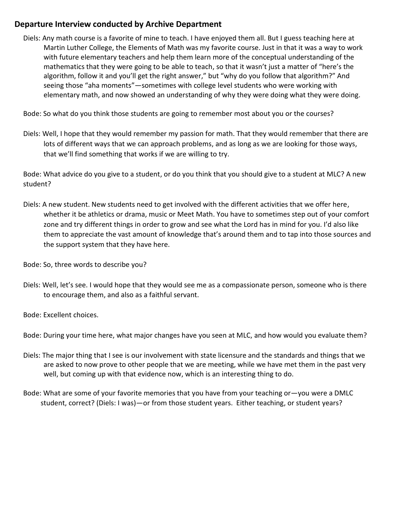Diels: Any math course is a favorite of mine to teach. I have enjoyed them all. But I guess teaching here at Martin Luther College, the Elements of Math was my favorite course. Just in that it was a way to work with future elementary teachers and help them learn more of the conceptual understanding of the mathematics that they were going to be able to teach, so that it wasn't just a matter of "here's the algorithm, follow it and you'll get the right answer," but "why do you follow that algorithm?" And seeing those "aha moments"—sometimes with college level students who were working with elementary math, and now showed an understanding of why they were doing what they were doing.

Bode: So what do you think those students are going to remember most about you or the courses?

Diels: Well, I hope that they would remember my passion for math. That they would remember that there are lots of different ways that we can approach problems, and as long as we are looking for those ways, that we'll find something that works if we are willing to try.

Bode: What advice do you give to a student, or do you think that you should give to a student at MLC? A new student?

- Diels: A new student. New students need to get involved with the different activities that we offer here, whether it be athletics or drama, music or Meet Math. You have to sometimes step out of your comfort zone and try different things in order to grow and see what the Lord has in mind for you. I'd also like them to appreciate the vast amount of knowledge that's around them and to tap into those sources and the support system that they have here.
- Bode: So, three words to describe you?
- Diels: Well, let's see. I would hope that they would see me as a compassionate person, someone who is there to encourage them, and also as a faithful servant.

Bode: Excellent choices.

Bode: During your time here, what major changes have you seen at MLC, and how would you evaluate them?

- Diels: The major thing that I see is our involvement with state licensure and the standards and things that we are asked to now prove to other people that we are meeting, while we have met them in the past very well, but coming up with that evidence now, which is an interesting thing to do.
- Bode: What are some of your favorite memories that you have from your teaching or—you were a DMLC student, correct? (Diels: I was)—or from those student years. Either teaching, or student years?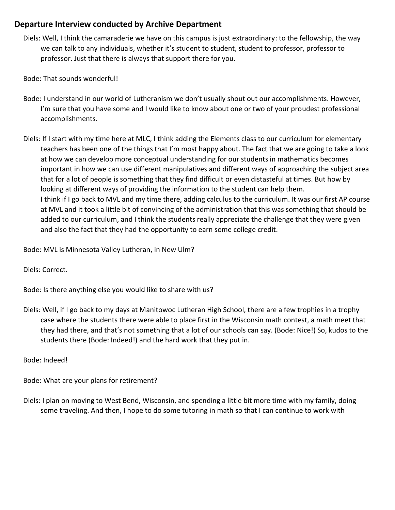- Diels: Well, I think the camaraderie we have on this campus is just extraordinary: to the fellowship, the way we can talk to any individuals, whether it's student to student, student to professor, professor to professor. Just that there is always that support there for you.
- Bode: That sounds wonderful!
- Bode: I understand in our world of Lutheranism we don't usually shout out our accomplishments. However, I'm sure that you have some and I would like to know about one or two of your proudest professional accomplishments.
- Diels: If I start with my time here at MLC, I think adding the Elements class to our curriculum for elementary teachers has been one of the things that I'm most happy about. The fact that we are going to take a look at how we can develop more conceptual understanding for our students in mathematics becomes important in how we can use different manipulatives and different ways of approaching the subject area that for a lot of people is something that they find difficult or even distasteful at times. But how by looking at different ways of providing the information to the student can help them. I think if I go back to MVL and my time there, adding calculus to the curriculum. It was our first AP course at MVL and it took a little bit of convincing of the administration that this was something that should be added to our curriculum, and I think the students really appreciate the challenge that they were given and also the fact that they had the opportunity to earn some college credit.

Bode: MVL is Minnesota Valley Lutheran, in New Ulm?

Diels: Correct.

Bode: Is there anything else you would like to share with us?

Diels: Well, if I go back to my days at Manitowoc Lutheran High School, there are a few trophies in a trophy case where the students there were able to place first in the Wisconsin math contest, a math meet that they had there, and that's not something that a lot of our schools can say. (Bode: Nice!) So, kudos to the students there (Bode: Indeed!) and the hard work that they put in.

Bode: Indeed!

Bode: What are your plans for retirement?

Diels: I plan on moving to West Bend, Wisconsin, and spending a little bit more time with my family, doing some traveling. And then, I hope to do some tutoring in math so that I can continue to work with